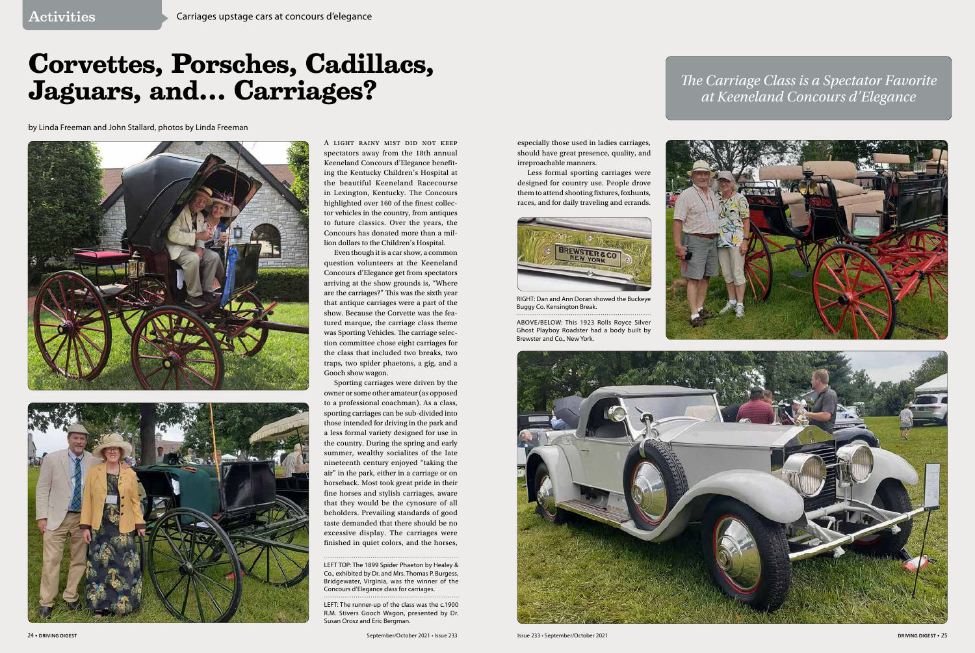especially those used in ladies carriages, should have great presence, quality, and irreproachable manners.

Less formal sporting carriages were designed for country use. People drove them to attend shooting fxtures, foxhunts, races, and for daily traveling and errands.

A light rainy mist did not keep spectators away from the 18th annual Keeneland Concours d'Elegance benefting the Kentucky Children's Hospital at the beautiful Keeneland Racecourse in Lexington, Kentucky. The Concours highlighted over 160 of the fnest collector vehicles in the country, from antiques to future classics. Over the years, the Concours has donated more than a million dollars to the Children's Hospital.

Sporting carriages were driven by the owner or some other amateur (as opposed to a professional coachman). As a class, sporting carriages can be sub-divided into those intended for driving in the park and a less formal variety designed for use in the country. During the spring and early summer, wealthy socialites of the late nineteenth century enjoyed "taking the air" in the park, either in a carriage or on horseback. Most took great pride in their fine horses and stylish carriages, aware that they would be the cynosure of all beholders. Prevailing standards of good taste demanded that there should be no excessive display. The carriages were finished in quiet colors, and the horses,

Even though it is a car show, a common question volunteers at the Keeneland Concours d'Elegance get from spectators arriving at the show grounds is, "Where are the carriages?" This was the sixth year that antique carriages were a part of the show. Because the Corvette was the featured marque, the carriage class theme was Sporting Vehicles. The carriage selection committee chose eight carriages for the class that included two breaks, two traps, two spider phaetons, a gig, and a Gooch show wagon.

## **Corvettes, Porsches, Cadillacs, Jaguars, and… Carriages?**

by Linda Freeman and John Stallard, photos by Linda Freeman







RIGHT: Dan and Ann Doran showed the Buckeye Buggy Co. Kensington Break.

ABOVE/BELOW: This 1923 Rolls Royce Silver Ghost Playboy Roadster had a body built by Brewster and Co., New York.



LEFT TOP: The 1899 Spider Phaeton by Healey & Co., exhibited by Dr. and Mrs. Thomas P. Burgess, Bridgewater, Virginia, was the winner of the Concours d'Elegance class for carriages.

LEFT: The runner-up of the class was the c.1900 R.M. Stivers Gooch Wagon, presented by Dr. Susan Orosz and Eric Bergman.

## *Te Carriage Class is a Spectator Favorite at Keeneland Concours d'Elegance*



24 **• DRIVING DIGEST** September/October 2021 • Issue 233 Issue 233 • September/October 2021 **DRIVING DIGEST •** 25